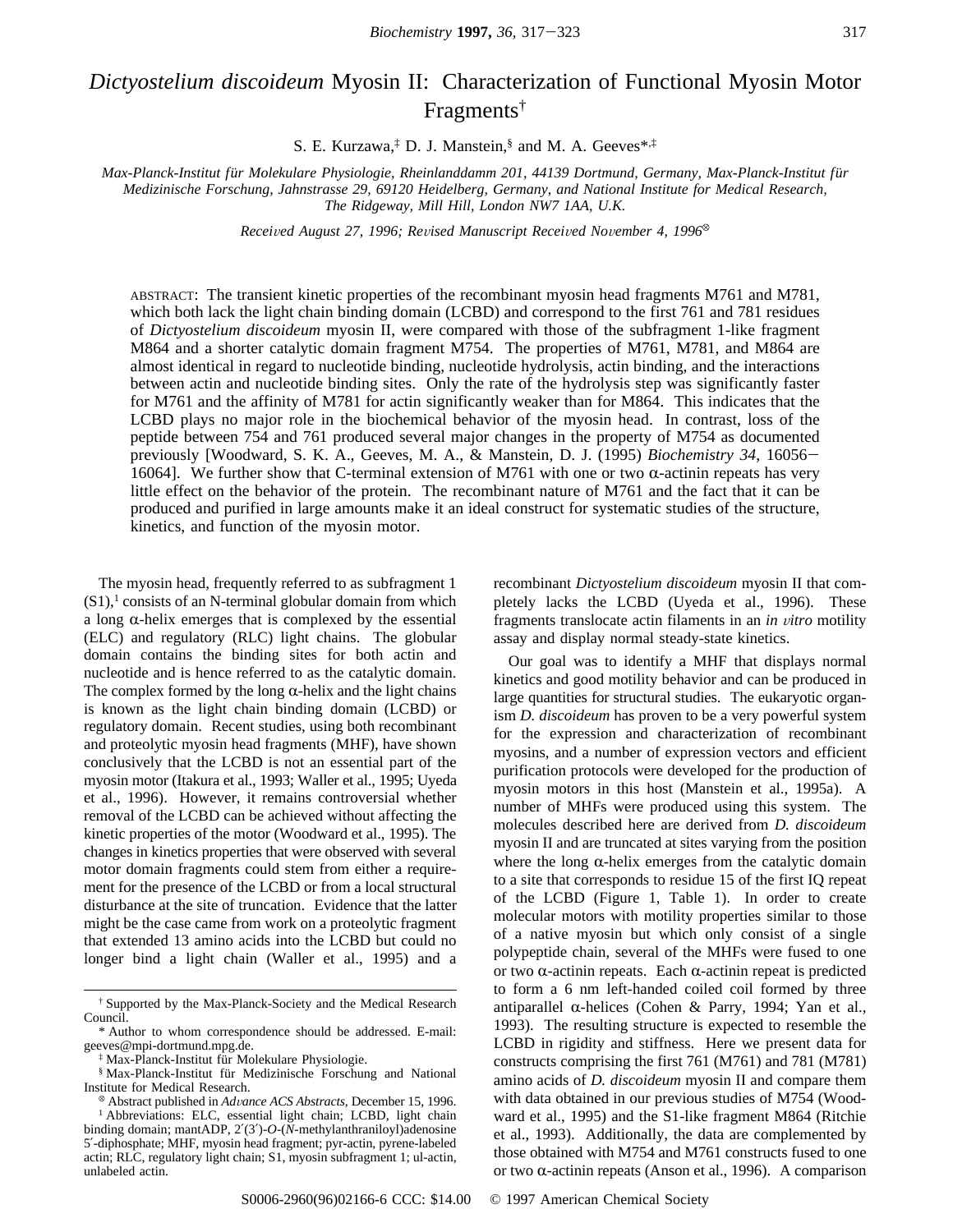# *Dictyostelium discoideum* Myosin II: Characterization of Functional Myosin Motor Fragments†

S. E. Kurzawa,‡ D. J. Manstein,§ and M. A. Geeves\*,‡

*Max-Planck-Institut fu*¨*r Molekulare Physiologie, Rheinlanddamm 201, 44139 Dortmund, Germany, Max-Planck-Institut fu*¨*r Medizinische Forschung, Jahnstrasse 29, 69120 Heidelberg, Germany, and National Institute for Medical Research, The Ridgeway, Mill Hill, London NW7 1AA, U.K.*

*Received August 27, 1996; Revised Manuscript Received November 4, 1996*<sup>®</sup>

ABSTRACT: The transient kinetic properties of the recombinant myosin head fragments M761 and M781, which both lack the light chain binding domain (LCBD) and correspond to the first 761 and 781 residues of *Dictyostelium discoideum* myosin II, were compared with those of the subfragment 1-like fragment M864 and a shorter catalytic domain fragment M754. The properties of M761, M781, and M864 are almost identical in regard to nucleotide binding, nucleotide hydrolysis, actin binding, and the interactions between actin and nucleotide binding sites. Only the rate of the hydrolysis step was significantly faster for M761 and the affinity of M781 for actin significantly weaker than for M864. This indicates that the LCBD plays no major role in the biochemical behavior of the myosin head. In contrast, loss of the peptide between 754 and 761 produced several major changes in the property of M754 as documented previously [Woodward, S. K. A., Geeves, M. A., & Manstein, D. J. (1995) *Biochemistry 34*, 16056- 16064]. We further show that C-terminal extension of M761 with one or two  $\alpha$ -actinin repeats has very little effect on the behavior of the protein. The recombinant nature of M761 and the fact that it can be produced and purified in large amounts make it an ideal construct for systematic studies of the structure, kinetics, and function of the myosin motor.

The myosin head, frequently referred to as subfragment 1  $(S1)$ ,<sup>1</sup> consists of an N-terminal globular domain from which a long  $\alpha$ -helix emerges that is complexed by the essential (ELC) and regulatory (RLC) light chains. The globular domain contains the binding sites for both actin and nucleotide and is hence referred to as the catalytic domain. The complex formed by the long  $\alpha$ -helix and the light chains is known as the light chain binding domain (LCBD) or regulatory domain. Recent studies, using both recombinant and proteolytic myosin head fragments (MHF), have shown conclusively that the LCBD is not an essential part of the myosin motor (Itakura et al., 1993; Waller et al., 1995; Uyeda et al., 1996). However, it remains controversial whether removal of the LCBD can be achieved without affecting the kinetic properties of the motor (Woodward et al., 1995). The changes in kinetics properties that were observed with several motor domain fragments could stem from either a requirement for the presence of the LCBD or from a local structural disturbance at the site of truncation. Evidence that the latter might be the case came from work on a proteolytic fragment that extended 13 amino acids into the LCBD but could no longer bind a light chain (Waller et al., 1995) and a

unlabeled actin.

<sup>1</sup> Abbreviations: ELC, essential light chain; LCBD, light chain binding domain; mantADP, 2′(3′)-*O*-(*N*-methylanthraniloyl)adenosine 5′-diphosphate; MHF, myosin head fragment; pyr-actin, pyrene-labeled actin; RLC, regulatory light chain; S1, myosin subfragment 1; ul-actin,

recombinant *Dictyostelium discoideum* myosin II that completely lacks the LCBD (Uyeda et al., 1996). These fragments translocate actin filaments in an *in vitro* motility assay and display normal steady-state kinetics.

Our goal was to identify a MHF that displays normal kinetics and good motility behavior and can be produced in large quantities for structural studies. The eukaryotic organism *D. discoideum* has proven to be a very powerful system for the expression and characterization of recombinant myosins, and a number of expression vectors and efficient purification protocols were developed for the production of myosin motors in this host (Manstein et al., 1995a). A number of MHFs were produced using this system. The molecules described here are derived from *D. discoideum* myosin II and are truncated at sites varying from the position where the long  $\alpha$ -helix emerges from the catalytic domain to a site that corresponds to residue 15 of the first IQ repeat of the LCBD (Figure 1, Table 1). In order to create molecular motors with motility properties similar to those of a native myosin but which only consist of a single polypeptide chain, several of the MHFs were fused to one or two  $\alpha$ -actinin repeats. Each  $\alpha$ -actinin repeat is predicted to form a 6 nm left-handed coiled coil formed by three antiparallel  $\alpha$ -helices (Cohen & Parry, 1994; Yan et al., 1993). The resulting structure is expected to resemble the LCBD in rigidity and stiffness. Here we present data for constructs comprising the first 761 (M761) and 781 (M781) amino acids of *D. discoideum* myosin II and compare them with data obtained in our previous studies of M754 (Woodward et al., 1995) and the S1-like fragment M864 (Ritchie et al., 1993). Additionally, the data are complemented by those obtained with M754 and M761 constructs fused to one or two  $\alpha$ -actinin repeats (Anson et al., 1996). A comparison

<sup>†</sup> Supported by the Max-Planck-Society and the Medical Research Council.

<sup>\*</sup> Author to whom correspondence should be addressed. E-mail: geeves@mpi-dortmund.mpg.de.

<sup>&</sup>lt;sup>‡</sup> Max-Planck-Institut für Molekulare Physiologie.

<sup>§</sup> Max-Planck-Institut für Medizinische Forschung and National Institute for Medical Research. <sup>X</sup> Abstract published in *Ad*V*ance ACS Abstracts,* December 15, 1996.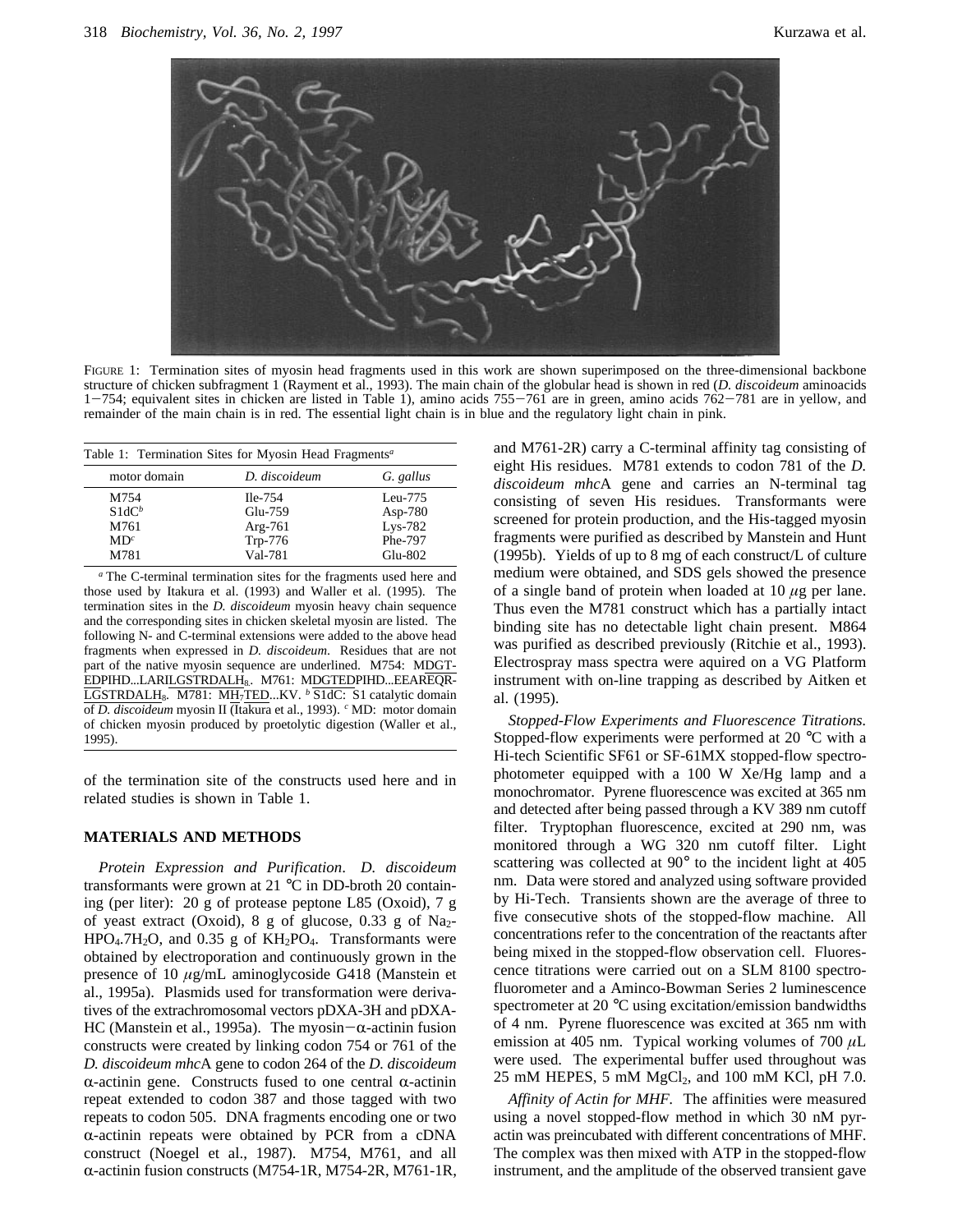

FIGURE 1: Termination sites of myosin head fragments used in this work are shown superimposed on the three-dimensional backbone structure of chicken subfragment 1 (Rayment et al., 1993). The main chain of the globular head is shown in red (*D. discoideum* aminoacids  $1-754$ ; equivalent sites in chicken are listed in Table 1), amino acids  $755-761$  are in green, amino acids  $762-781$  are in yellow, and remainder of the main chain is in red. The essential light chain is in blue and the regulatory light chain in pink.

| Table 1: Termination Sites for Myosin Head Fragments <sup>a</sup> |                                                         |                                                              |  |  |  |  |
|-------------------------------------------------------------------|---------------------------------------------------------|--------------------------------------------------------------|--|--|--|--|
| motor domain                                                      | D. discoideum                                           | G. gallus                                                    |  |  |  |  |
| M754<br>$S1dC^b$<br>M761<br>MD <sup>c</sup><br>M781               | $Ile-754$<br>Glu-759<br>$Arg-761$<br>Trp-776<br>Val-781 | $Leu-775$<br>Asp- $780$<br>$Lys-782$<br>Phe-797<br>$Glu-802$ |  |  |  |  |

*<sup>a</sup>* The C-terminal termination sites for the fragments used here and those used by Itakura et al. (1993) and Waller et al. (1995). The termination sites in the *D. discoideum* myosin heavy chain sequence and the corresponding sites in chicken skeletal myosin are listed. The following N- and C-terminal extensions were added to the above head fragments when expressed in *D. discoideum*. Residues that are not part of the native myosin sequence are underlined. M754: MDGT-EDPIHD...LARILGSTRDALH<sub>8</sub>. M761: MDGTEDPIHD...EEAREQR-LGSTRDALH8. M781: MH7TED...KV. *<sup>b</sup>* S1dC: S1 catalytic domain of *D. discoideum* myosin II (Itakura et al., 1993). *<sup>c</sup>* MD: motor domain of chicken myosin produced by proetolytic digestion (Waller et al., 1995).

of the termination site of the constructs used here and in related studies is shown in Table 1.

### **MATERIALS AND METHODS**

*Protein Expression and Purification*. *D. discoideum* transformants were grown at 21 °C in DD-broth 20 containing (per liter): 20 g of protease peptone L85 (Oxoid), 7 g of yeast extract (Oxoid), 8 g of glucose, 0.33 g of Na<sub>2</sub>- $HPO<sub>4</sub>·7H<sub>2</sub>O$ , and 0.35 g of  $KH<sub>2</sub>PO<sub>4</sub>$ . Transformants were obtained by electroporation and continuously grown in the presence of 10 *µ*g/mL aminoglycoside G418 (Manstein et al., 1995a). Plasmids used for transformation were derivatives of the extrachromosomal vectors pDXA-3H and pDXA-HC (Manstein et al., 1995a). The myosin $-\alpha$ -actinin fusion constructs were created by linking codon 754 or 761 of the *D. discoideum mhc*A gene to codon 264 of the *D. discoideum*  $\alpha$ -actinin gene. Constructs fused to one central  $\alpha$ -actinin repeat extended to codon 387 and those tagged with two repeats to codon 505. DNA fragments encoding one or two  $\alpha$ -actinin repeats were obtained by PCR from a cDNA construct (Noegel et al., 1987). M754, M761, and all R-actinin fusion constructs (M754-1R, M754-2R, M761-1R, and M761-2R) carry a C-terminal affinity tag consisting of eight His residues. M781 extends to codon 781 of the *D. discoideum mhc*A gene and carries an N-terminal tag consisting of seven His residues. Transformants were screened for protein production, and the His-tagged myosin fragments were purified as described by Manstein and Hunt (1995b). Yields of up to 8 mg of each construct/L of culture medium were obtained, and SDS gels showed the presence of a single band of protein when loaded at 10 *µ*g per lane. Thus even the M781 construct which has a partially intact binding site has no detectable light chain present. M864 was purified as described previously (Ritchie et al., 1993). Electrospray mass spectra were aquired on a VG Platform instrument with on-line trapping as described by Aitken et al. (1995).

*Stopped-Flow Experiments and Fluorescence Titrations.* Stopped-flow experiments were performed at 20 °C with a Hi-tech Scientific SF61 or SF-61MX stopped-flow spectrophotometer equipped with a 100 W Xe/Hg lamp and a monochromator. Pyrene fluorescence was excited at 365 nm and detected after being passed through a KV 389 nm cutoff filter. Tryptophan fluorescence, excited at 290 nm, was monitored through a WG 320 nm cutoff filter. Light scattering was collected at 90° to the incident light at 405 nm. Data were stored and analyzed using software provided by Hi-Tech. Transients shown are the average of three to five consecutive shots of the stopped-flow machine. All concentrations refer to the concentration of the reactants after being mixed in the stopped-flow observation cell. Fluorescence titrations were carried out on a SLM 8100 spectrofluorometer and a Aminco-Bowman Series 2 luminescence spectrometer at 20 °C using excitation/emission bandwidths of 4 nm. Pyrene fluorescence was excited at 365 nm with emission at 405 nm. Typical working volumes of 700 *µ*L were used. The experimental buffer used throughout was  $25 \text{ mM HEPES}, 5 \text{ mM } \text{MgCl}_2$ , and  $100 \text{ mM KCl}, \text{ pH } 7.0$ .

*Affinity of Actin for MHF.* The affinities were measured using a novel stopped-flow method in which 30 nM pyractin was preincubated with different concentrations of MHF. The complex was then mixed with ATP in the stopped-flow instrument, and the amplitude of the observed transient gave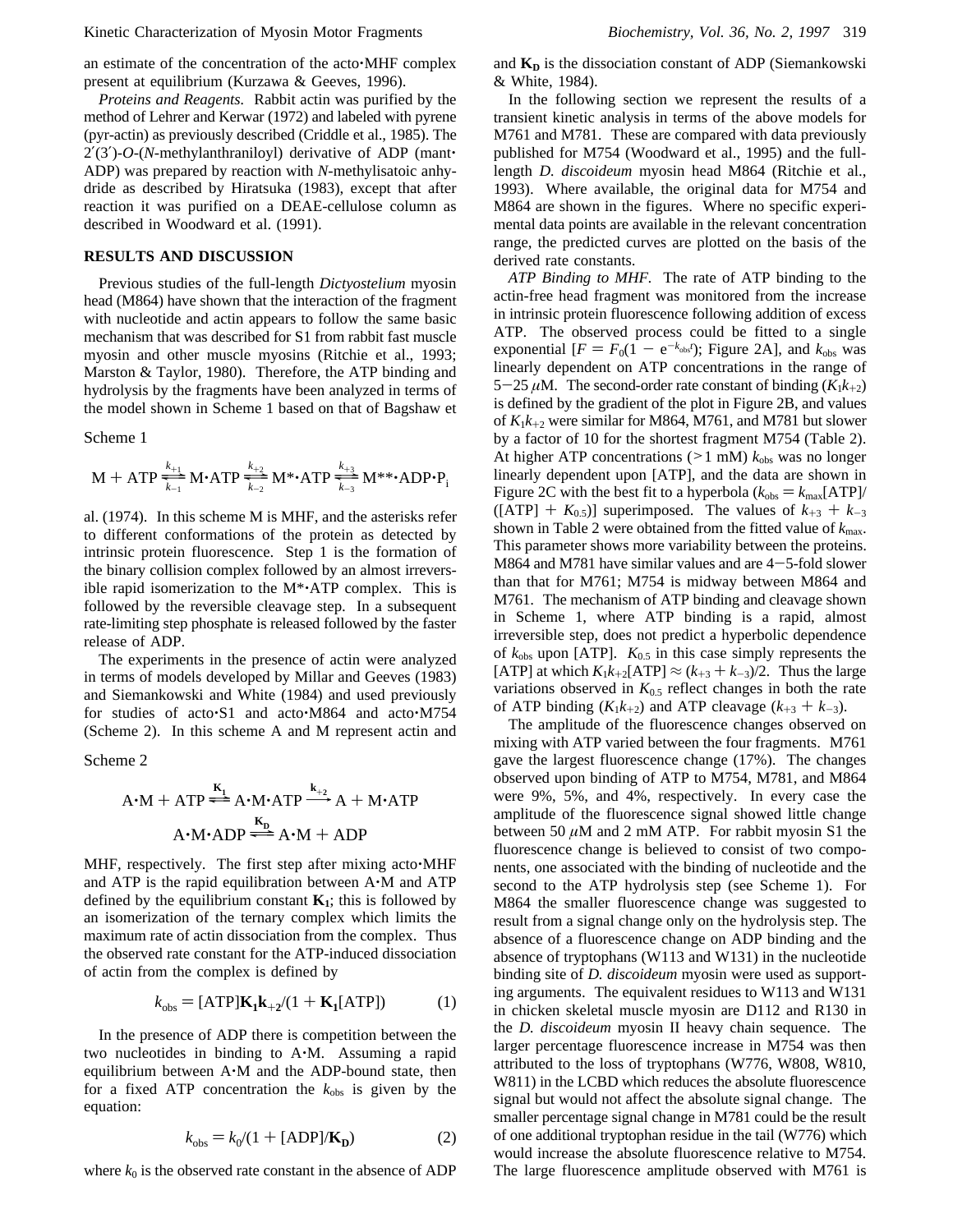#### Kinetic Characterization of Myosin Motor Fragments *Biochemistry, Vol. 36, No. 2, 1997* 319

an estimate of the concentration of the acto'MHF complex present at equilibrium (Kurzawa & Geeves, 1996).

*Proteins and Reagents.* Rabbit actin was purified by the method of Lehrer and Kerwar (1972) and labeled with pyrene (pyr-actin) as previously described (Criddle et al., 1985). The 2′(3′)-*O*-(*N*-methylanthraniloyl) derivative of ADP (mant' ADP) was prepared by reaction with *N*-methylisatoic anhydride as described by Hiratsuka (1983), except that after reaction it was purified on a DEAE-cellulose column as described in Woodward et al. (1991).

# **RESULTS AND DISCUSSION**

Previous studies of the full-length *Dictyostelium* myosin head (M864) have shown that the interaction of the fragment with nucleotide and actin appears to follow the same basic mechanism that was described for S1 from rabbit fast muscle myosin and other muscle myosins (Ritchie et al., 1993; Marston & Taylor, 1980). Therefore, the ATP binding and hydrolysis by the fragments have been analyzed in terms of the model shown in Scheme 1 based on that of Bagshaw et

Scheme 1

$$
M + ATP \frac{\frac{k_{+1}}{k_{-1}}}{\frac{k_{-1}}{k_{-2}}} M \cdot ATP \frac{\frac{k_{+2}}{k_{-2}}}{\frac{k_{-2}}{k_{-2}}} M^* \cdot ATP \frac{\frac{k_{+3}}{k_{-3}}}{\frac{k_{-3}}{k_{-3}}} M^* \cdot ADP \cdot P_i
$$

al. (1974). In this scheme M is MHF, and the asterisks refer to different conformations of the protein as detected by intrinsic protein fluorescence. Step 1 is the formation of the binary collision complex followed by an almost irreversible rapid isomerization to the M\*'ATP complex. This is followed by the reversible cleavage step. In a subsequent rate-limiting step phosphate is released followed by the faster release of ADP.

The experiments in the presence of actin were analyzed in terms of models developed by Millar and Geeves (1983) and Siemankowski and White (1984) and used previously for studies of acto'S1 and acto'M864 and acto'M754 (Scheme 2). In this scheme A and M represent actin and

Scheme 2

ne 2  
A•M + ATP 
$$
\stackrel{K_1}{\rightleftharpoons}
$$
 A•M•ATP  $\stackrel{k_{+2}}{\longrightarrow}$  A + M•ATP  
A•M•ADP  $\stackrel{K_p}{\rightleftharpoons}$  A•M + ADP

MHF, respectively. The first step after mixing acto'MHF and ATP is the rapid equilibration between A'M and ATP defined by the equilibrium constant  $K_1$ ; this is followed by an isomerization of the ternary complex which limits the maximum rate of actin dissociation from the complex. Thus the observed rate constant for the ATP-induced dissociation of actin from the complex is defined by

$$
k_{\text{obs}} = \text{[ATP]} \mathbf{K}_1 \mathbf{k}_{+2} / (1 + \mathbf{K}_1 \text{[ATP]}) \tag{1}
$$

In the presence of ADP there is competition between the two nucleotides in binding to A'M. Assuming a rapid equilibrium between A'M and the ADP-bound state, then for a fixed ATP concentration the  $k_{obs}$  is given by the equation:

$$
k_{\text{obs}} = k_0/(1 + \text{[ADP]/K}_{\text{D}})
$$
 (2)

where  $k_0$  is the observed rate constant in the absence of ADP

and  $K_D$  is the dissociation constant of ADP (Siemankowski & White, 1984).

In the following section we represent the results of a transient kinetic analysis in terms of the above models for M761 and M781. These are compared with data previously published for M754 (Woodward et al., 1995) and the fulllength *D. discoideum* myosin head M864 (Ritchie et al., 1993). Where available, the original data for M754 and M864 are shown in the figures. Where no specific experimental data points are available in the relevant concentration range, the predicted curves are plotted on the basis of the derived rate constants.

*ATP Binding to MHF.* The rate of ATP binding to the actin-free head fragment was monitored from the increase in intrinsic protein fluorescence following addition of excess ATP. The observed process could be fitted to a single exponential  $[F = F_0(1 - e^{-k_{obs}t})$ ; Figure 2A], and  $k_{obs}$  was linearly dependent on ATP concentrations in the range of 5-25  $\mu$ M. The second-order rate constant of binding ( $K_1k_{+2}$ ) is defined by the gradient of the plot in Figure 2B, and values of  $K_1k_{+2}$  were similar for M864, M761, and M781 but slower by a factor of 10 for the shortest fragment M754 (Table 2). At higher ATP concentrations ( $>1$  mM)  $k_{obs}$  was no longer linearly dependent upon [ATP], and the data are shown in Figure 2C with the best fit to a hyperbola  $(k_{obs} = k_{max}[ATP]/$  $([ATP] + K_{0.5})$ ] superimposed. The values of  $k_{+3} + k_{-3}$ shown in Table 2 were obtained from the fitted value of *k*max. This parameter shows more variability between the proteins. M864 and M781 have similar values and are  $4-5$ -fold slower than that for M761; M754 is midway between M864 and M761. The mechanism of ATP binding and cleavage shown in Scheme 1, where ATP binding is a rapid, almost irreversible step, does not predict a hyperbolic dependence of  $k_{obs}$  upon [ATP].  $K_{0.5}$  in this case simply represents the [ATP] at which  $K_1k_{+2}$ [ATP]  $\approx$   $(k_{+3} + k_{-3})/2$ . Thus the large variations observed in  $K_{0.5}$  reflect changes in both the rate of ATP binding  $(K_1k_{+2})$  and ATP cleavage  $(k_{+3} + k_{-3})$ .

The amplitude of the fluorescence changes observed on mixing with ATP varied between the four fragments. M761 gave the largest fluorescence change (17%). The changes observed upon binding of ATP to M754, M781, and M864 were 9%, 5%, and 4%, respectively. In every case the amplitude of the fluorescence signal showed little change between 50  $\mu$ M and 2 mM ATP. For rabbit myosin S1 the fluorescence change is believed to consist of two components, one associated with the binding of nucleotide and the second to the ATP hydrolysis step (see Scheme 1). For M864 the smaller fluorescence change was suggested to result from a signal change only on the hydrolysis step. The absence of a fluorescence change on ADP binding and the absence of tryptophans (W113 and W131) in the nucleotide binding site of *D. discoideum* myosin were used as supporting arguments. The equivalent residues to W113 and W131 in chicken skeletal muscle myosin are D112 and R130 in the *D. discoideum* myosin II heavy chain sequence. The larger percentage fluorescence increase in M754 was then attributed to the loss of tryptophans (W776, W808, W810, W811) in the LCBD which reduces the absolute fluorescence signal but would not affect the absolute signal change. The smaller percentage signal change in M781 could be the result of one additional tryptophan residue in the tail (W776) which would increase the absolute fluorescence relative to M754. The large fluorescence amplitude observed with M761 is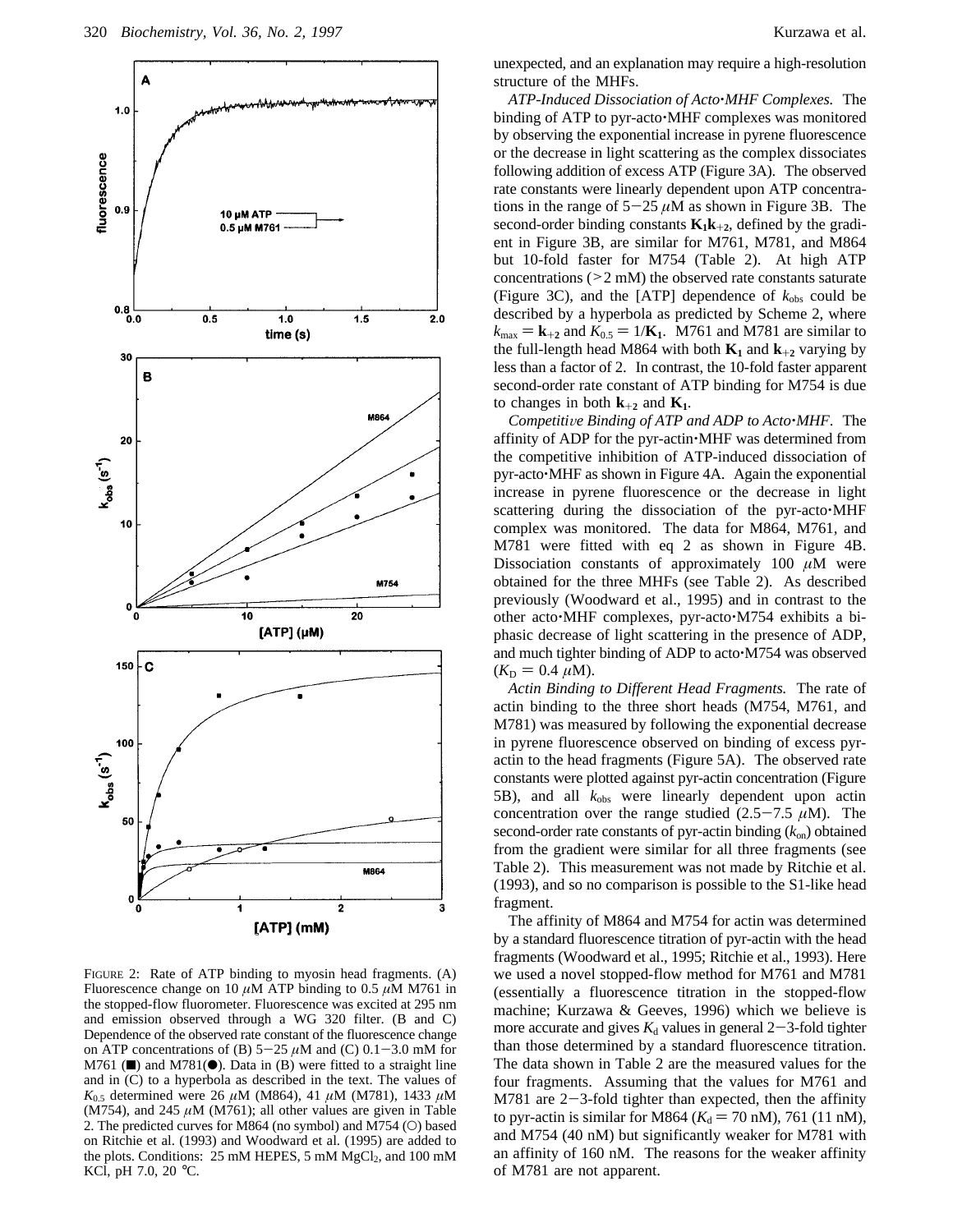

FIGURE 2: Rate of ATP binding to myosin head fragments. (A) Fluorescence change on 10  $\mu$ M ATP binding to 0.5  $\mu$ M M761 in the stopped-flow fluorometer. Fluorescence was excited at 295 nm and emission observed through a WG 320 filter. (B and C) Dependence of the observed rate constant of the fluorescence change on ATP concentrations of (B)  $5-25 \mu M$  and (C)  $0.1-3.0 \text{ mM}$  for  $M761$  ( $\blacksquare$ ) and  $M781$ ( $\blacksquare$ ). Data in (B) were fitted to a straight line and in (C) to a hyperbola as described in the text. The values of *K*0.5 determined were 26 *µ*M (M864), 41 *µ*M (M781), 1433 *µ*M (M754), and 245  $\mu$ M (M761); all other values are given in Table 2. The predicted curves for M864 (no symbol) and M754 (O) based on Ritchie et al. (1993) and Woodward et al. (1995) are added to the plots. Conditions:  $25 \text{ mM HEPES}, 5 \text{ mM } MgCl<sub>2</sub>, and 100 \text{ mM}$ KCl, pH 7.0, 20 °C.

unexpected, and an explanation may require a high-resolution structure of the MHFs.

*ATP-Induced Dissociation of Acto*'*MHF Complexes.* The binding of ATP to pyr-acto'MHF complexes was monitored by observing the exponential increase in pyrene fluorescence or the decrease in light scattering as the complex dissociates following addition of excess ATP (Figure 3A). The observed rate constants were linearly dependent upon ATP concentrations in the range of  $5-25 \mu M$  as shown in Figure 3B. The second-order binding constants  $K_1k_{+2}$ , defined by the gradient in Figure 3B, are similar for M761, M781, and M864 but 10-fold faster for M754 (Table 2). At high ATP concentrations  $(2 mM)$  the observed rate constants saturate (Figure 3C), and the [ATP] dependence of  $k_{obs}$  could be described by a hyperbola as predicted by Scheme 2, where  $k_{\text{max}} = \mathbf{k}_{+2}$  and  $K_{0.5} = 1/\mathbf{K}_1$ . M761 and M781 are similar to the full-length head M864 with both  $K_1$  and  $k_{+2}$  varying by less than a factor of 2. In contrast, the 10-fold faster apparent second-order rate constant of ATP binding for M754 is due to changes in both  $k_{+2}$  and  $K_1$ .

*Competitive Binding of ATP and ADP to Acto* $^{\bullet}$ *MHF.* The affinity of ADP for the pyr-actin'MHF was determined from the competitive inhibition of ATP-induced dissociation of pyr-acto'MHF as shown in Figure 4A. Again the exponential increase in pyrene fluorescence or the decrease in light scattering during the dissociation of the pyr-acto'MHF complex was monitored. The data for M864, M761, and M781 were fitted with eq 2 as shown in Figure 4B. Dissociation constants of approximately 100  $\mu$ M were obtained for the three MHFs (see Table 2). As described previously (Woodward et al., 1995) and in contrast to the other acto'MHF complexes, pyr-acto'M754 exhibits a biphasic decrease of light scattering in the presence of ADP, and much tighter binding of ADP to acto'M754 was observed  $(K_D = 0.4 \mu M).$ 

*Actin Binding to Different Head Fragments.* The rate of actin binding to the three short heads (M754, M761, and M781) was measured by following the exponential decrease in pyrene fluorescence observed on binding of excess pyractin to the head fragments (Figure 5A). The observed rate constants were plotted against pyr-actin concentration (Figure 5B), and all *k*obs were linearly dependent upon actin concentration over the range studied  $(2.5-7.5 \mu M)$ . The second-order rate constants of pyr-actin binding  $(k_{on})$  obtained from the gradient were similar for all three fragments (see Table 2). This measurement was not made by Ritchie et al. (1993), and so no comparison is possible to the S1-like head fragment.

The affinity of M864 and M754 for actin was determined by a standard fluorescence titration of pyr-actin with the head fragments (Woodward et al., 1995; Ritchie et al., 1993). Here we used a novel stopped-flow method for M761 and M781 (essentially a fluorescence titration in the stopped-flow machine; Kurzawa & Geeves, 1996) which we believe is more accurate and gives  $K_d$  values in general 2-3-fold tighter than those determined by a standard fluorescence titration. The data shown in Table 2 are the measured values for the four fragments. Assuming that the values for M761 and M781 are  $2-3$ -fold tighter than expected, then the affinity to pyr-actin is similar for M864 ( $K_d$  = 70 nM), 761 (11 nM), and M754 (40 nM) but significantly weaker for M781 with an affinity of 160 nM. The reasons for the weaker affinity of M781 are not apparent.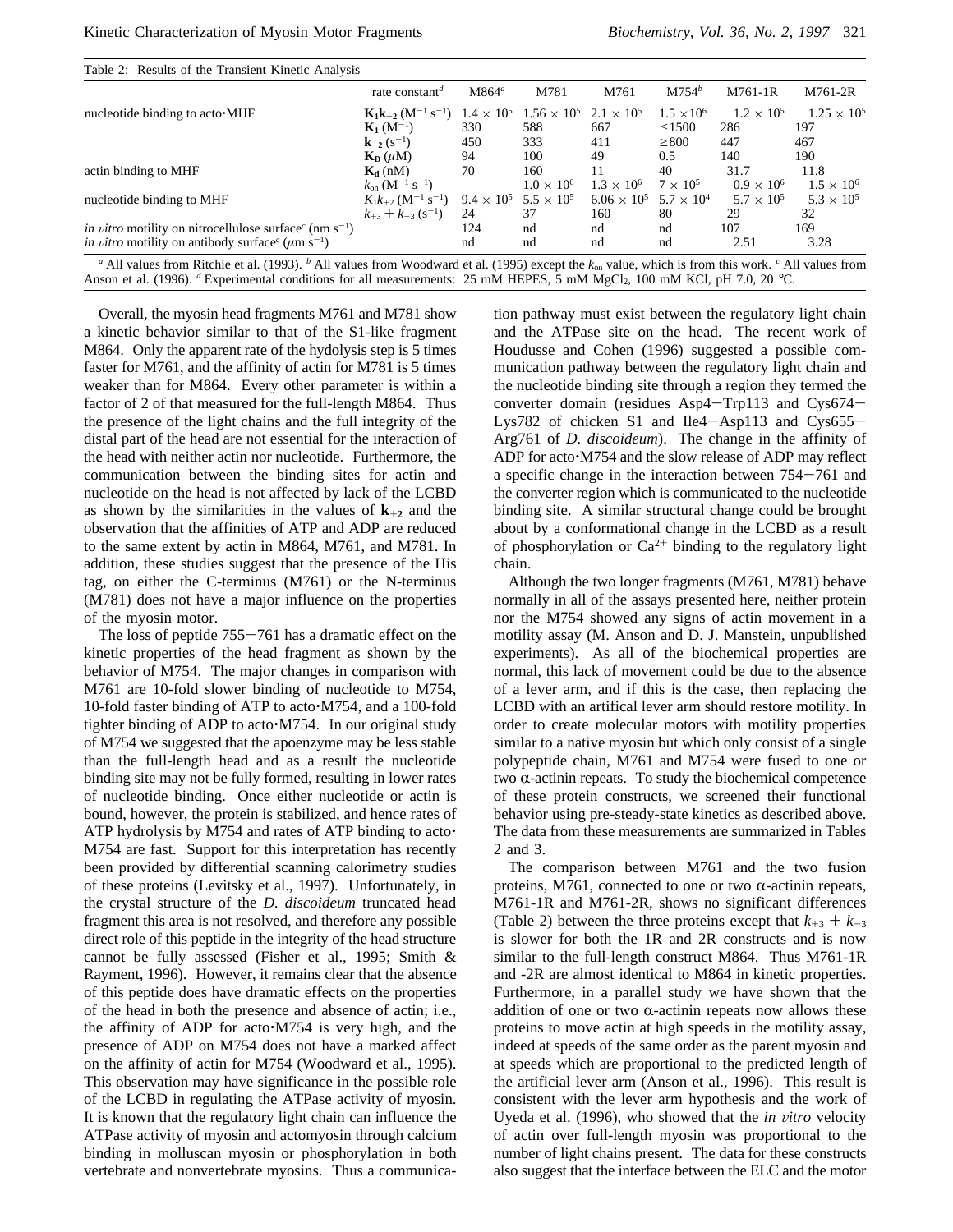| Table 2: Results of the Transient Kinetic Analysis                                                 |                                                           |                                                                                                                      |                            |                           |                       |                             |                             |
|----------------------------------------------------------------------------------------------------|-----------------------------------------------------------|----------------------------------------------------------------------------------------------------------------------|----------------------------|---------------------------|-----------------------|-----------------------------|-----------------------------|
|                                                                                                    | rate constant <sup>d</sup>                                | $M864^a$                                                                                                             | M781                       | M761                      | $M754^b$              | M761-1R                     | M761-2R                     |
| nucleotide binding to acto MHF                                                                     | $K_1k_{+2}$ (M <sup>-1</sup> s <sup>-1</sup> )            | $1.4 \times 10^{5}$                                                                                                  | $1.56 \times 10^{5}$       | $2.1 \times 10^{5}$       | $1.5 \times 10^{6}$   | $1.2 \times 10^{5}$         | $1.25 \times 10^{5}$        |
|                                                                                                    | ${\bf K}_1(M^{-1})$                                       | 330                                                                                                                  | 588                        | 667                       | $\leq$ 1500           | 286                         | 197                         |
|                                                                                                    | ${\bf k}_{+2}$ (s <sup>-1</sup> )                         | 450                                                                                                                  | 333                        | 411                       | $\geq$ 800            | 447                         | 467                         |
|                                                                                                    | $\mathbf{K}_{\mathbf{D}}(\mu \mathbf{M})$                 | 94                                                                                                                   | 100                        | 49                        | 0.5                   | 140                         | 190                         |
| actin binding to MHF                                                                               | $K_d$ (nM)<br>$k_{on}$ (M <sup>-1</sup> s <sup>-1</sup> ) | 70                                                                                                                   | 160<br>$1.0 \times 10^{6}$ | 11<br>$1.3 \times 10^{6}$ | 40<br>$7 \times 10^5$ | 31.7<br>$0.9 \times 10^{6}$ | 11.8<br>$1.5 \times 10^{6}$ |
| nucleotide binding to MHF                                                                          | $K_1k_{+2}$ (M <sup>-1</sup> s <sup>-1</sup> )            | $9.4 \times 10^{5}$                                                                                                  | $5.5 \times 10^{5}$        | $6.06 \times 10^{5}$      | $5.7 \times 10^{4}$   | $5.7 \times 10^{5}$         | $5.3 \times 10^{5}$         |
|                                                                                                    | $k_{+3} + k_{-3}$ (s <sup>-1</sup> )                      | 24                                                                                                                   | 37                         | 160                       | 80                    | 29                          | 32                          |
| <i>in vitro</i> motility on nitrocellulose surface <sup><math>c</math></sup> (nm s <sup>-1</sup> ) |                                                           | 124                                                                                                                  | nd                         | nd                        | nd                    | 107                         | 169                         |
| <i>in vitro</i> motility on antibody surface <sup>c</sup> ( $\mu$ m s <sup>-1</sup> )              |                                                           | nd                                                                                                                   | nd                         | nd                        | nd                    | 2.51                        | 3.28                        |
|                                                                                                    | $- - -$                                                   | $\mathbf{1}$ $\mathbf{1}$ $\mathbf{1}$ $\mathbf{1}$ $\mathbf{1}$ $\mathbf{1}$ $\mathbf{1}$ $\mathbf{1}$ $\mathbf{1}$ |                            |                           | .                     | .                           |                             |

*<sup>a</sup>* All values from Ritchie et al. (1993). *<sup>b</sup>* All values from Woodward et al. (1995) except the *k*on value, which is from this work. *<sup>c</sup>* All values from Anson et al. (1996). *d* Experimental conditions for all measurements: 25 mM HEPES, 5 mM MgCl<sub>2</sub>, 100 mM KCl, pH 7.0, 20 °C.

Overall, the myosin head fragments M761 and M781 show a kinetic behavior similar to that of the S1-like fragment M864. Only the apparent rate of the hydolysis step is 5 times faster for M761, and the affinity of actin for M781 is 5 times weaker than for M864. Every other parameter is within a factor of 2 of that measured for the full-length M864. Thus the presence of the light chains and the full integrity of the distal part of the head are not essential for the interaction of the head with neither actin nor nucleotide. Furthermore, the communication between the binding sites for actin and nucleotide on the head is not affected by lack of the LCBD as shown by the similarities in the values of  $k_{+2}$  and the observation that the affinities of ATP and ADP are reduced to the same extent by actin in M864, M761, and M781. In addition, these studies suggest that the presence of the His tag, on either the C-terminus (M761) or the N-terminus (M781) does not have a major influence on the properties of the myosin motor.

The loss of peptide  $755-761$  has a dramatic effect on the kinetic properties of the head fragment as shown by the behavior of M754. The major changes in comparison with M761 are 10-fold slower binding of nucleotide to M754, 10-fold faster binding of ATP to acto'M754, and a 100-fold tighter binding of ADP to acto'M754. In our original study of M754 we suggested that the apoenzyme may be less stable than the full-length head and as a result the nucleotide binding site may not be fully formed, resulting in lower rates of nucleotide binding. Once either nucleotide or actin is bound, however, the protein is stabilized, and hence rates of ATP hydrolysis by M754 and rates of ATP binding to acto' M754 are fast. Support for this interpretation has recently been provided by differential scanning calorimetry studies of these proteins (Levitsky et al., 1997). Unfortunately, in the crystal structure of the *D. discoideum* truncated head fragment this area is not resolved, and therefore any possible direct role of this peptide in the integrity of the head structure cannot be fully assessed (Fisher et al., 1995; Smith & Rayment, 1996). However, it remains clear that the absence of this peptide does have dramatic effects on the properties of the head in both the presence and absence of actin; i.e., the affinity of ADP for acto'M754 is very high, and the presence of ADP on M754 does not have a marked affect on the affinity of actin for M754 (Woodward et al., 1995). This observation may have significance in the possible role of the LCBD in regulating the ATPase activity of myosin. It is known that the regulatory light chain can influence the ATPase activity of myosin and actomyosin through calcium binding in molluscan myosin or phosphorylation in both vertebrate and nonvertebrate myosins. Thus a communica-

tion pathway must exist between the regulatory light chain and the ATPase site on the head. The recent work of Houdusse and Cohen (1996) suggested a possible communication pathway between the regulatory light chain and the nucleotide binding site through a region they termed the converter domain (residues Asp4-Trp113 and Cys674- Lys782 of chicken S1 and Ile4-Asp113 and Cys655- Arg761 of *D. discoideum*). The change in the affinity of ADP for acto'M754 and the slow release of ADP may reflect a specific change in the interaction between 754-761 and the converter region which is communicated to the nucleotide binding site. A similar structural change could be brought about by a conformational change in the LCBD as a result of phosphorylation or  $Ca^{2+}$  binding to the regulatory light chain.

Although the two longer fragments (M761, M781) behave normally in all of the assays presented here, neither protein nor the M754 showed any signs of actin movement in a motility assay (M. Anson and D. J. Manstein, unpublished experiments). As all of the biochemical properties are normal, this lack of movement could be due to the absence of a lever arm, and if this is the case, then replacing the LCBD with an artifical lever arm should restore motility. In order to create molecular motors with motility properties similar to a native myosin but which only consist of a single polypeptide chain, M761 and M754 were fused to one or two  $\alpha$ -actinin repeats. To study the biochemical competence of these protein constructs, we screened their functional behavior using pre-steady-state kinetics as described above. The data from these measurements are summarized in Tables 2 and 3.

The comparison between M761 and the two fusion proteins, M761, connected to one or two  $\alpha$ -actinin repeats, M761-1R and M761-2R, shows no significant differences (Table 2) between the three proteins except that  $k_{+3} + k_{-3}$ is slower for both the 1R and 2R constructs and is now similar to the full-length construct M864. Thus M761-1R and -2R are almost identical to M864 in kinetic properties. Furthermore, in a parallel study we have shown that the addition of one or two  $\alpha$ -actinin repeats now allows these proteins to move actin at high speeds in the motility assay, indeed at speeds of the same order as the parent myosin and at speeds which are proportional to the predicted length of the artificial lever arm (Anson et al., 1996). This result is consistent with the lever arm hypothesis and the work of Uyeda et al. (1996), who showed that the *in vitro* velocity of actin over full-length myosin was proportional to the number of light chains present. The data for these constructs also suggest that the interface between the ELC and the motor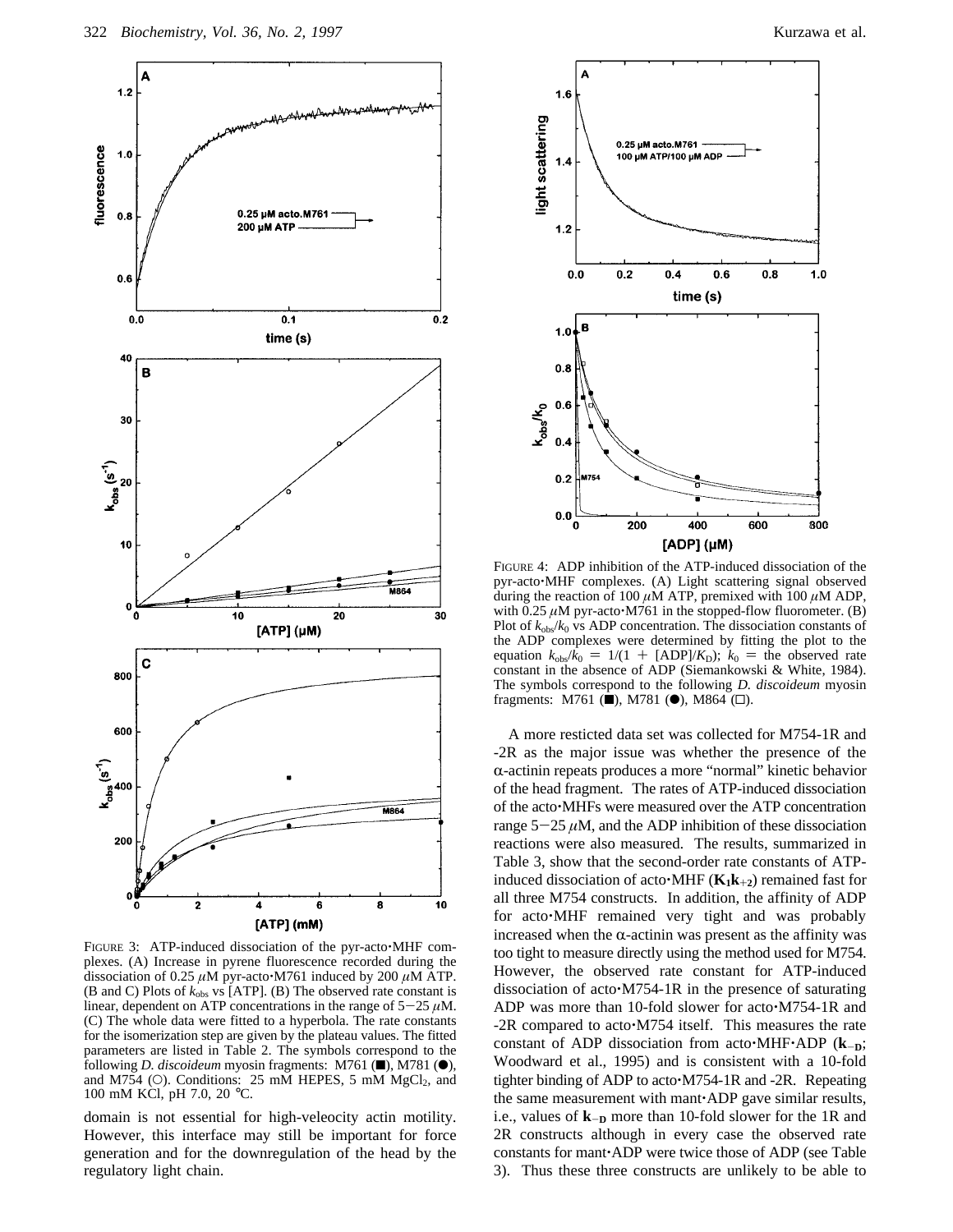

FIGURE 3: ATP-induced dissociation of the pyr-acto $\cdot$ MHF complexes. (A) Increase in pyrene fluorescence recorded during the dissociation of 0.25 *µ*M pyr-acto'M761 induced by 200 *µ*M ATP. (B and C) Plots of *k*obs vs [ATP]. (B) The observed rate constant is linear, dependent on ATP concentrations in the range of  $5-25 \mu M$ . (C) The whole data were fitted to a hyperbola. The rate constants for the isomerization step are given by the plateau values. The fitted parameters are listed in Table 2. The symbols correspond to the following *D. discoideum* myosin fragments: M761 (■), M781 (●), and M754 (O). Conditions:  $25 \text{ mM HEPES}, 5 \text{ mM MgCl}_2$ , and 100 mM KCl, pH 7.0, 20 °C.

domain is not essential for high-veleocity actin motility. However, this interface may still be important for force generation and for the downregulation of the head by the regulatory light chain.



FIGURE 4: ADP inhibition of the ATP-induced dissociation of the pyr-acto'MHF complexes. (A) Light scattering signal observed during the reaction of 100 *µ*M ATP, premixed with 100 *µ*M ADP, with  $0.25 \mu M$  pyr-acto $\cdot M761$  in the stopped-flow fluorometer. (B) Plot of  $k_{obs}/k_0$  vs ADP concentration. The dissociation constants of the ADP complexes were determined by fitting the plot to the equation  $k_{\text{obs}}/k_0 = 1/(1 + [ADP]/K_D)$ ;  $k_0 =$  the observed rate constant in the absence of ADP (Siemankowski & White, 1984). The symbols correspond to the following *D. discoideum* myosin fragments: M761 ( $\blacksquare$ ), M781 ( $\spadesuit$ ), M864 ( $\Box$ ).

A more resticted data set was collected for M754-1R and -2R as the major issue was whether the presence of the  $\alpha$ -actinin repeats produces a more "normal" kinetic behavior of the head fragment. The rates of ATP-induced dissociation of the acto'MHFs were measured over the ATP concentration range  $5-25 \mu M$ , and the ADP inhibition of these dissociation reactions were also measured. The results, summarized in Table 3, show that the second-order rate constants of ATPinduced dissociation of acto $\cdot$ MHF ( $K_1k_{+2}$ ) remained fast for all three M754 constructs. In addition, the affinity of ADP for acto'MHF remained very tight and was probably increased when the  $\alpha$ -actinin was present as the affinity was too tight to measure directly using the method used for M754. However, the observed rate constant for ATP-induced dissociation of acto'M754-1R in the presence of saturating ADP was more than 10-fold slower for acto'M754-1R and -2R compared to acto'M754 itself. This measures the rate constant of ADP dissociation from acto'MHF'ADP (**k**-**D**; Woodward et al., 1995) and is consistent with a 10-fold tighter binding of ADP to acto'M754-1R and -2R. Repeating the same measurement with mant'ADP gave similar results, i.e., values of  $k$ -**D** more than 10-fold slower for the 1R and 2R constructs although in every case the observed rate constants for mant'ADP were twice those of ADP (see Table 3). Thus these three constructs are unlikely to be able to